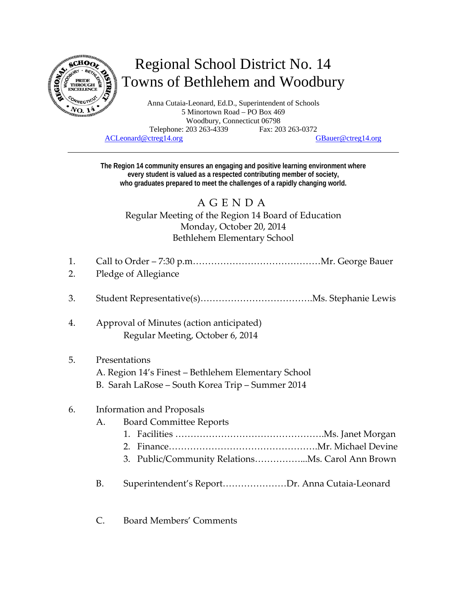

# Regional School District No. 14 Towns of Bethlehem and Woodbury

Anna Cutaia-Leonard, Ed.D., Superintendent of Schools 5 Minortown Road – PO Box 469 Woodbury, Connecticut 06798 Telephone: 203 263-4339 Fax: 203 263-0372 ACLeonard@ctreg14.org GBauer@ctreg14.org

**The Region 14 community ensures an engaging and positive learning environment where every student is valued as a respected contributing member of society, who graduates prepared to meet the challenges of a rapidly changing world.** 

## AGENDA Regular Meeting of the Region 14 Board of Education Monday, October 20, 2014 Bethlehem Elementary School

- 1. Call to Order 7:30 p.m……………………………………Mr. George Bauer
- 2. Pledge of Allegiance
- 3. Student Representative(s)……………………………….Ms. Stephanie Lewis
- 4. Approval of Minutes (action anticipated) Regular Meeting, October 6, 2014

#### 5. Presentations

- A. Region 14's Finest Bethlehem Elementary School
- B. Sarah LaRose South Korea Trip Summer 2014

#### 6. Information and Proposals

- A. Board Committee Reports
	- 1. Facilities ………………………………………….Ms. Janet Morgan
	- 2. Finance………………………………………….Mr. Michael Devine
	- 3. Public/Community Relations……………...Ms. Carol Ann Brown
- B. Superintendent's Report…………………Dr. Anna Cutaia‐Leonard
- C. Board Members' Comments